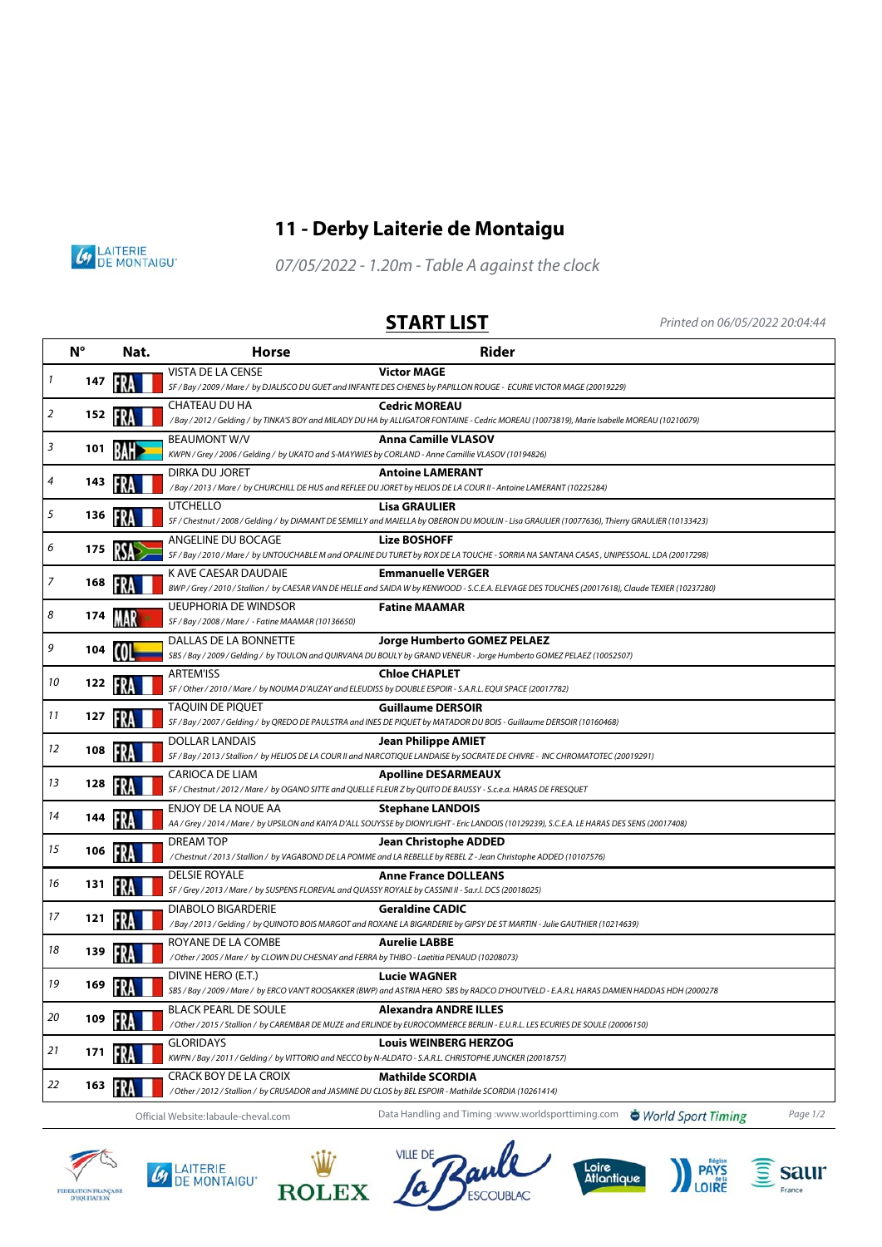

## **11 - Derby Laiterie de Montaigu**



07/05/2022 - 1.20m - Table A against the clock

**START LIST** Printed on 06/05/2022 20:04:44

|    | $N^{\circ}$ | <b>Rider</b><br>Nat.<br><b>Horse</b> |                                                                                                                                 |                                                                                                                                                                              |          |
|----|-------------|--------------------------------------|---------------------------------------------------------------------------------------------------------------------------------|------------------------------------------------------------------------------------------------------------------------------------------------------------------------------|----------|
| 1  | 147         |                                      | <b>VISTA DE LA CENSE</b>                                                                                                        | <b>Victor MAGE</b><br>SF / Bay / 2009 / Mare / by DJALISCO DU GUET and INFANTE DES CHENES by PAPILLON ROUGE - ECURIE VICTOR MAGE (20019229)                                  |          |
| 2  | 152         | FRA                                  | CHATEAU DU HA                                                                                                                   | <b>Cedric MOREAU</b><br>/Bay / 2012 / Gelding / by TINKA'S BOY and MILADY DU HA by ALLIGATOR FONTAINE - Cedric MOREAU (10073819), Marie Isabelle MOREAU (10210079)           |          |
| 3  | 101         |                                      | <b>BEAUMONT W/V</b><br>KWPN / Grey / 2006 / Gelding / by UKATO and S-MAYWIES by CORLAND - Anne Camillie VLASOV (10194826)       | <b>Anna Camille VLASOV</b>                                                                                                                                                   |          |
| 4  | 143         |                                      | DIRKA DU JORET                                                                                                                  | <b>Antoine LAMERANT</b><br>/Bay / 2013 / Mare / by CHURCHILL DE HUS and REFLEE DU JORET by HELIOS DE LA COUR II - Antoine LAMERANT (10225284)                                |          |
| 5  | 136         |                                      | <b>UTCHELLO</b>                                                                                                                 | <b>Lisa GRAULIER</b><br>SF / Chestnut / 2008 / Gelding / by DIAMANT DE SEMILLY and MAIELLA by OBERON DU MOULIN - Lisa GRAULIER (10077636), Thierry GRAULIER (10133423)       |          |
| 6  | 175         | RSA                                  | ANGELINE DU BOCAGE                                                                                                              | <b>Lize BOSHOFF</b><br>SF / Bay / 2010 / Mare / by UNTOUCHABLE M and OPALINE DU TURET by ROX DE LA TOUCHE - SORRIA NA SANTANA CASAS, UNIPESSOAL. LDA (20017298)              |          |
| 7  | 168         | FRA                                  | K AVE CAESAR DAUDAIE                                                                                                            | <b>Emmanuelle VERGER</b><br>BWP / Grey / 2010 / Stallion / by CAESAR VAN DE HELLE and SAIDA W by KENWOOD - S.C.E.A. ELEVAGE DES TOUCHES (20017618), Claude TEXIER (10237280) |          |
| 8  | 174         |                                      | <b>UEUPHORIA DE WINDSOR</b><br>SF / Bay / 2008 / Mare / - Fatine MAAMAR (10136650)                                              | <b>Fatine MAAMAR</b>                                                                                                                                                         |          |
| 9  | 104         |                                      | DALLAS DE LA BONNETTE                                                                                                           | Jorge Humberto GOMEZ PELAEZ<br>SBS / Bay / 2009 / Gelding / by TOULON and QUIRVANA DU BOULY by GRAND VENEUR - Jorge Humberto GOMEZ PELAEZ (10052507)                         |          |
| 10 | 122         |                                      | <b>ARTEM'ISS</b><br>SF / Other / 2010 / Mare / by NOUMA D'AUZAY and ELEUDISS by DOUBLE ESPOIR - S.A.R.L. EQUI SPACE (20017782)  | <b>Chloe CHAPLET</b>                                                                                                                                                         |          |
| 11 | 127         |                                      | <b>TAQUIN DE PIQUET</b>                                                                                                         | <b>Guillaume DERSOIR</b><br>SF / Bay / 2007 / Gelding / by QREDO DE PAULSTRA and INES DE PIQUET by MATADOR DU BOIS - Guillaume DERSOIR (10160468)                            |          |
| 12 | 108         |                                      | DOLLAR LANDAIS                                                                                                                  | <b>Jean Philippe AMIET</b><br>SF / Bay / 2013 / Stallion / by HELIOS DE LA COUR II and NARCOTIQUE LANDAISE by SOCRATE DE CHIVRE - INC CHROMATOTEC (20019291)                 |          |
| 13 | 128         | FR.                                  | CARIOCA DE LIAM                                                                                                                 | <b>Apolline DESARMEAUX</b><br>SF / Chestnut / 2012 / Mare / by OGANO SITTE and QUELLE FLEUR Z by QUITO DE BAUSSY - S.c.e.a. HARAS DE FRESQUET                                |          |
| 14 | 144         |                                      | ENJOY DE LA NOUE AA                                                                                                             | <b>Stephane LANDOIS</b><br>AA / Grey / 2014 / Mare / by UPSILON and KAIYA D'ALL SOUYSSE by DIONYLIGHT - Eric LANDOIS (10129239), S.C.E.A. LE HARAS DES SENS (20017408)       |          |
| 15 | 106         | FR.                                  | <b>DREAM TOP</b>                                                                                                                | <b>Jean Christophe ADDED</b><br>/Chestnut/2013/Stallion/by VAGABOND DE LA POMME and LA REBELLE by REBEL Z - Jean Christophe ADDED (10107576)                                 |          |
| 16 | 131         | FRA                                  | <b>DELSIE ROYALE</b><br>SF / Grey / 2013 / Mare / by SUSPENS FLOREVAL and QUASSY ROYALE by CASSINI II - Sa.r.l. DCS (20018025)  | <b>Anne France DOLLEANS</b>                                                                                                                                                  |          |
| 17 | 121         |                                      | <b>DIABOLO BIGARDERIE</b>                                                                                                       | <b>Geraldine CADIC</b><br>/Bay / 2013 / Gelding / by QUINOTO BOIS MARGOT and ROXANE LA BIGARDERIE by GIPSY DE ST MARTIN - Julie GAUTHIER (10214639)                          |          |
| 18 | 139         |                                      | ROYANE DE LA COMBE<br>/ Other / 2005 / Mare / by CLOWN DU CHESNAY and FERRA by THIBO - Laetitia PENAUD (10208073)               | <b>Aurelie LABBE</b>                                                                                                                                                         |          |
| 19 | 169         |                                      | DIVINE HERO (E.T.)                                                                                                              | <b>Lucie WAGNER</b><br>SBS / Bay / 2009 / Mare / by ERCO VAN'T ROOSAKKER (BWP) and ASTRIA HERO SBS by RADCO D'HOUTVELD - E.A.R.L HARAS DAMIEN HADDAS HDH (2000278            |          |
| 20 | 109         |                                      | <b>BLACK PEARL DE SOULE</b>                                                                                                     | <b>Alexandra ANDRE ILLES</b><br>/ Other / 2015 / Stallion / by CAREMBAR DE MUZE and ERLINDE by EUROCOMMERCE BERLIN - E.U.R.L. LES ECURIES DE SOULE (20006150)                |          |
| 21 | 171         |                                      | <b>GLORIDAYS</b><br>KWPN / Bay / 2011 / Gelding / by VITTORIO and NECCO by N-ALDATO - S.A.R.L. CHRISTOPHE JUNCKER (20018757)    | <b>Louis WEINBERG HERZOG</b>                                                                                                                                                 |          |
| 22 | 163         | FRA                                  | CRACK BOY DE LA CROIX<br>/Other / 2012 / Stallion / by CRUSADOR and JASMINE DU CLOS by BEL ESPOIR - Mathilde SCORDIA (10261414) | <b>Mathilde SCORDIA</b>                                                                                                                                                      |          |
|    |             |                                      | Official Website: labaule-cheval.com                                                                                            | Data Handling and Timing :www.worldsporttiming.com<br>World Sport Timing                                                                                                     | Page 1/2 |



 $\mathbf{u}$